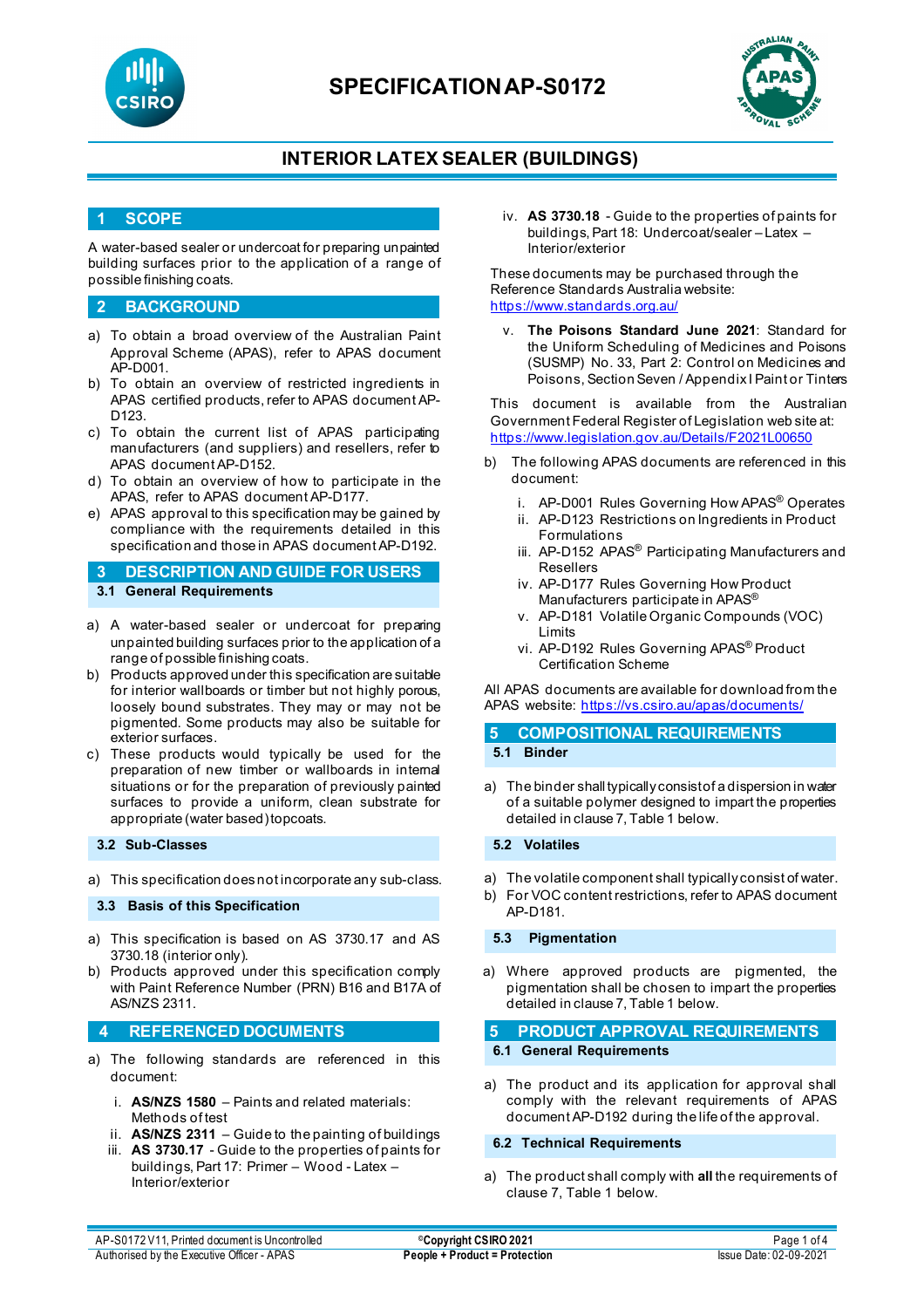

# **SPECIFICATIONAP-S0172**



### **INTERIOR LATEX SEALER (BUILDINGS)**

### **1 SCOPE**

A water-based sealer or undercoat for preparing unpainted building surfaces prior to the application of a range of possible finishing coats.

#### **2 BACKGROUND**

- a) To obtain a broad overview of the Australian Paint Approval Scheme (APAS), refer to APAS document AP-D001.
- b) To obtain an overview of restricted ingredients in APAS certified products, refer to APAS document AP-D123.
- c) To obtain the current list of APAS participating manufacturers (and suppliers) and resellers, refer to APAS document AP-D152.
- d) To obtain an overview of how to participate in the APAS, refer to APAS document AP-D177.
- e) APAS approval to this specification may be gained by compliance with the requirements detailed in this specification and those in APAS document AP-D192.

**3 DESCRIPTION AND GUIDE FOR USERS 3.1 General Requirements**

- a) A water-based sealer or undercoat for preparing unpainted building surfaces prior to the application of a range of possible finishing coats.
- b) Products approved under this specification are suitable for interior wallboards or timber but not highly porous, loosely bound substrates. They may or may not be pigmented. Some products may also be suitable for exterior surfaces.
- c) These products would typically be used for the preparation of new timber or wallboards in internal situations or for the preparation of previously painted surfaces to provide a uniform, clean substrate for appropriate (water based) topcoats.

#### **3.2 Sub-Classes**

a) This specification does not incorporate any sub-class.

#### **3.3 Basis of this Specification**

- a) This specification is based on AS 3730.17 and AS 3730.18 (interior only).
- b) Products approved under this specification comply with Paint Reference Number (PRN) B16 and B17A of AS/NZS 2311.

#### **4 REFERENCED DOCUMENTS**

- a) The following standards are referenced in this document:
	- i. **AS/NZS 1580** Paints and related materials: Methods of test
	- ii. **AS/NZS 2311**  Guide to the painting of buildings
	- iii. **AS 3730.17** Guide to the properties of paints for buildings, Part 17: Primer – Wood - Latex – Interior/exterior

iv. **AS 3730.18** - Guide to the properties of paints for buildings, Part 18: Undercoat/sealer – Latex – Interior/exterior

These documents may be purchased through the Reference Standards Australia website: <https://www.standards.org.au/>

The Poisons Standard June 2021: Standard for the Uniform Scheduling of Medicines and Poisons (SUSMP) No. 33, Part 2: Control on Medicines and Poisons, Section Seven / Appendix I Paint or Tinters

This document is available from the Australian Government Federal Register of Legislation web site at: <https://www.legislation.gov.au/Details/F2021L00650>

- b) The following APAS documents are referenced in this document:
	- i. AP-D001 Rules Governing How APAS® Operates
	- ii. AP-D123 Restrictions on Ingredients in Product Formulations
	- iii. AP-D152 APAS<sup>®</sup> Participating Manufacturers and Resellers
	- iv. AP-D177 Rules Governing How Product Manufacturers participate in APAS®
	- v. AP-D181 Volatile Organic Compounds (VOC) Limits
	- vi. AP-D192 Rules Governing APAS® Product Certification Scheme

All APAS documents are available for download from the APAS website: <https://vs.csiro.au/apas/documents/>

#### **5 COMPOSITIONAL REQUIREMENTS 5.1 Binder**

a) The binder shall typically consist of a dispersion in water of a suitable polymer designed to impart the properties detailed in clause 7, Table 1 below.

#### **5.2 Volatiles**

- a) The volatile component shall typically consist of water.
- b) For VOC content restrictions, refer to APAS document AP-D181.

**5.3 Pigmentation**

a) Where approved products are pigmented, the pigmentation shall be chosen to impart the properties detailed in clause 7, Table 1 below.

# **5 PRODUCT APPROVAL REQUIREMENTS**

### **6.1 General Requirements**

a) The product and its application for approval shall comply with the relevant requirements of APAS document AP-D192 during the life of the approval.

### **6.2 Technical Requirements**

a) The product shall comply with **all** the requirements of clause 7, Table 1 below.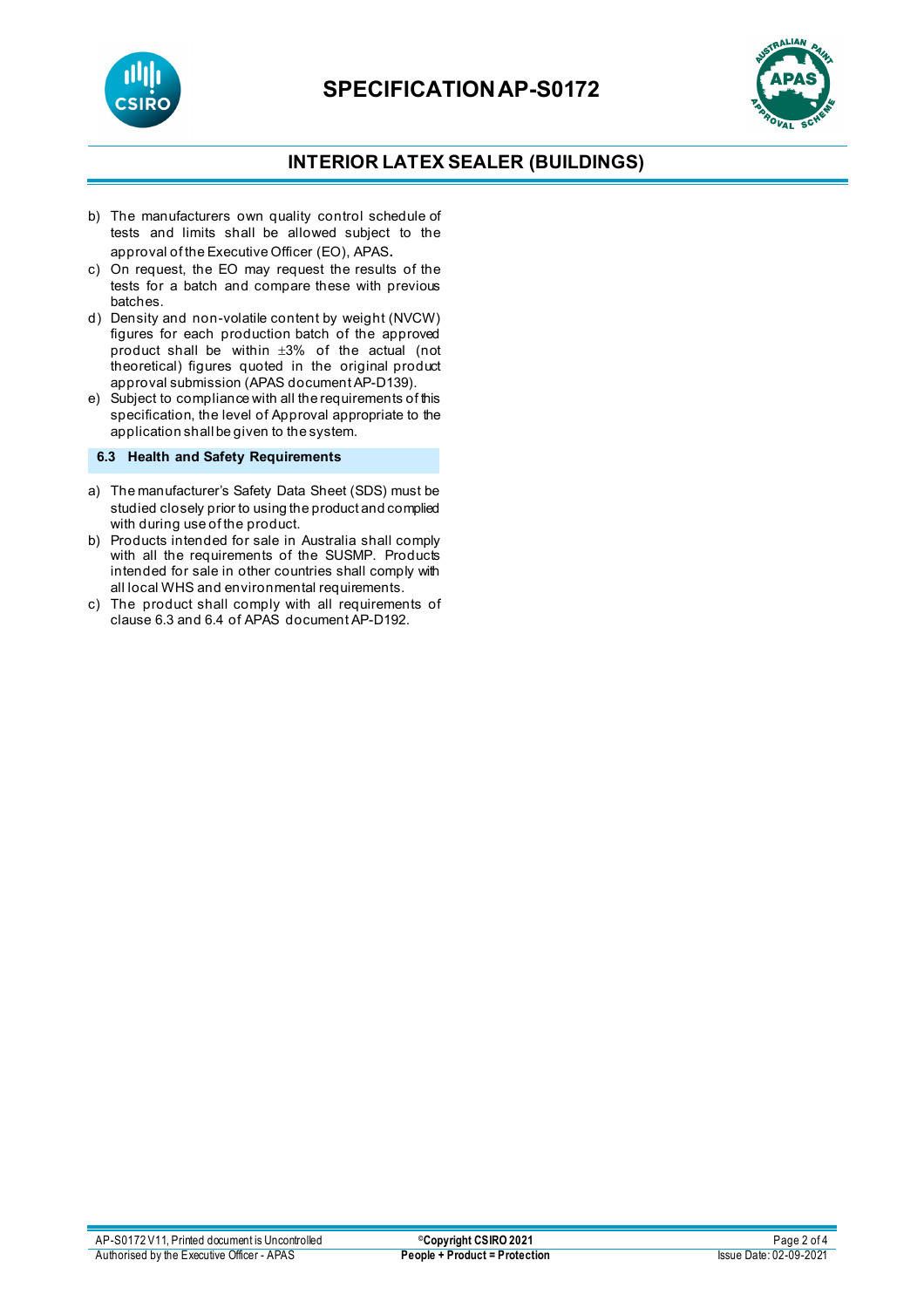



## **INTERIOR LATEX SEALER (BUILDINGS)**

- b) The manufacturers own quality control schedule of tests and limits shall be allowed subject to the approval of the Executive Officer (EO), APAS.
- c) On request, the EO may request the results of the tests for a batch and compare these with previous batches.
- d) Density and non-volatile content by weight (NVCW) figures for each production batch of the approved product shall be within ±3% of the actual (not theoretical) figures quoted in the original product approval submission (APAS document AP-D139).
- e) Subject to compliance with all the requirements of this specification, the level of Approval appropriate to the application shall be given to the system.

### **6.3 Health and Safety Requirements**

- a) The manufacturer's Safety Data Sheet (SDS) must be studied closely prior to using the product and complied with during use of the product.
- b) Products intended for sale in Australia shall comply with all the requirements of the SUSMP. Products intended for sale in other countries shall comply with all local WHS and environmental requirements.
- c) The product shall comply with all requirements of clause 6.3 and 6.4 of APAS document AP-D192.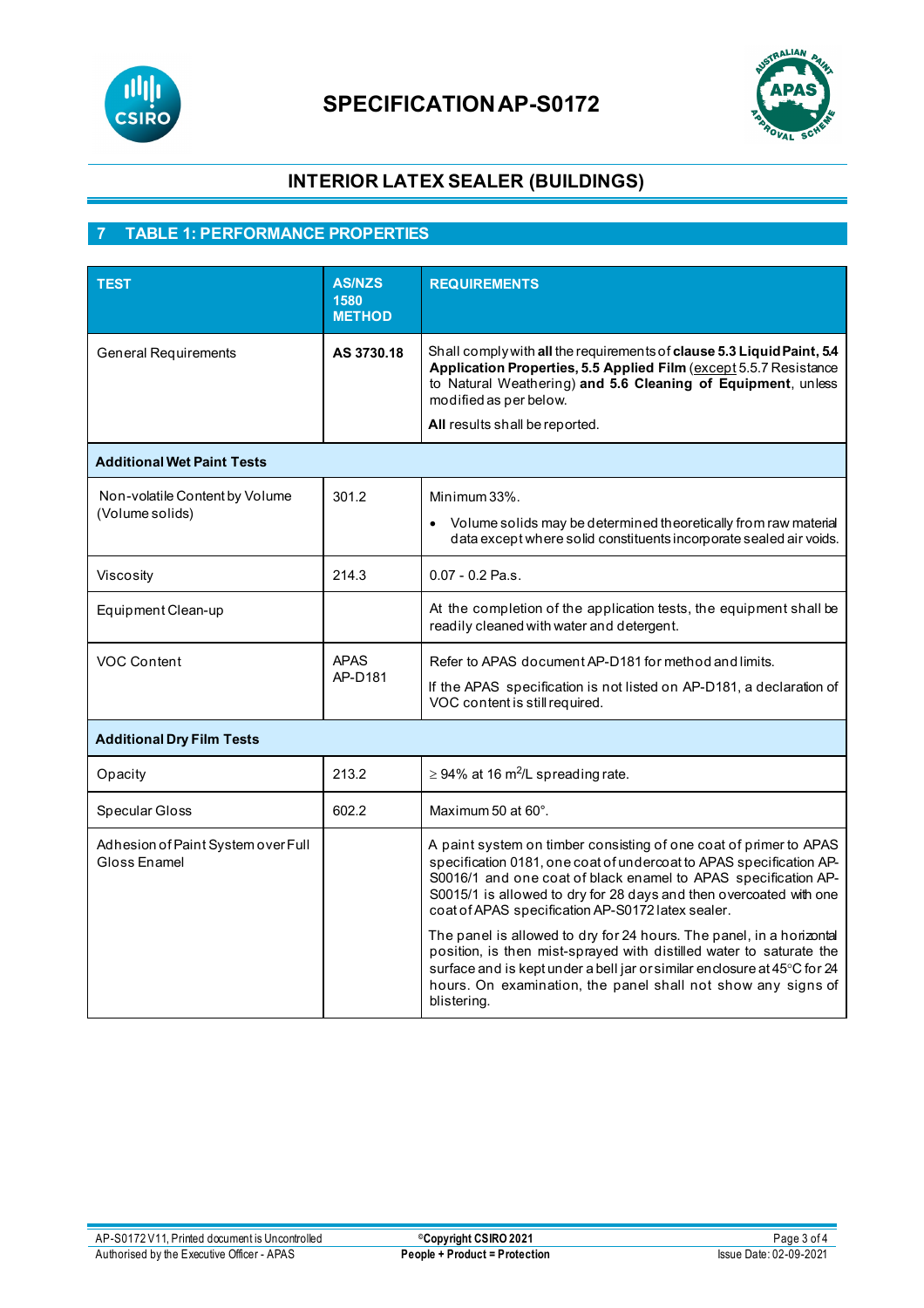

# **SPECIFICATIONAP-S0172**



# **INTERIOR LATEX SEALER (BUILDINGS)**

# **7 TABLE 1: PERFORMANCE PROPERTIES**

| <b>TEST</b>                                        | <b>AS/NZS</b><br>1580<br><b>METHOD</b> | <b>REQUIREMENTS</b>                                                                                                                                                                                                                                                                                                                   |  |
|----------------------------------------------------|----------------------------------------|---------------------------------------------------------------------------------------------------------------------------------------------------------------------------------------------------------------------------------------------------------------------------------------------------------------------------------------|--|
| <b>General Requirements</b>                        | AS 3730.18                             | Shall comply with all the requirements of clause 5.3 Liquid Paint, 5.4<br>Application Properties, 5.5 Applied Film (except 5.5.7 Resistance<br>to Natural Weathering) and 5.6 Cleaning of Equipment, unless<br>modified as per below.                                                                                                 |  |
|                                                    |                                        | All results shall be reported.                                                                                                                                                                                                                                                                                                        |  |
| <b>Additional Wet Paint Tests</b>                  |                                        |                                                                                                                                                                                                                                                                                                                                       |  |
| Non-volatile Content by Volume<br>(Volume solids)  | 301.2                                  | Minimum 33%.<br>Volume solids may be determined theoretically from raw material<br>data except where solid constituents incorporate sealed air voids.                                                                                                                                                                                 |  |
| Viscosity                                          | 214.3                                  | $0.07 - 0.2$ Pa.s.                                                                                                                                                                                                                                                                                                                    |  |
| Equipment Clean-up                                 |                                        | At the completion of the application tests, the equipment shall be<br>readily cleaned with water and detergent.                                                                                                                                                                                                                       |  |
| VOC Content                                        | <b>APAS</b><br>AP-D181                 | Refer to APAS document AP-D181 for method and limits.<br>If the APAS specification is not listed on AP-D181, a declaration of<br>VOC content is still required.                                                                                                                                                                       |  |
| <b>Additional Dry Film Tests</b>                   |                                        |                                                                                                                                                                                                                                                                                                                                       |  |
| Opacity                                            | 213.2                                  | $\geq$ 94% at 16 m <sup>2</sup> /L spreading rate.                                                                                                                                                                                                                                                                                    |  |
| Specular Gloss                                     | 602.2                                  | Maximum 50 at 60°.                                                                                                                                                                                                                                                                                                                    |  |
| Adhesion of Paint System over Full<br>Gloss Enamel |                                        | A paint system on timber consisting of one coat of primer to APAS<br>specification 0181, one coat of undercoat to APAS specification AP-<br>S0016/1 and one coat of black enamel to APAS specification AP-<br>S0015/1 is allowed to dry for 28 days and then overcoated with one<br>coat of APAS specification AP-S0172 latex sealer. |  |
|                                                    |                                        | The panel is allowed to dry for 24 hours. The panel, in a horizontal<br>position, is then mist-sprayed with distilled water to saturate the<br>surface and is kept under a bell jar or similar enclosure at 45°C for 24<br>hours. On examination, the panel shall not show any signs of<br>blistering.                                |  |